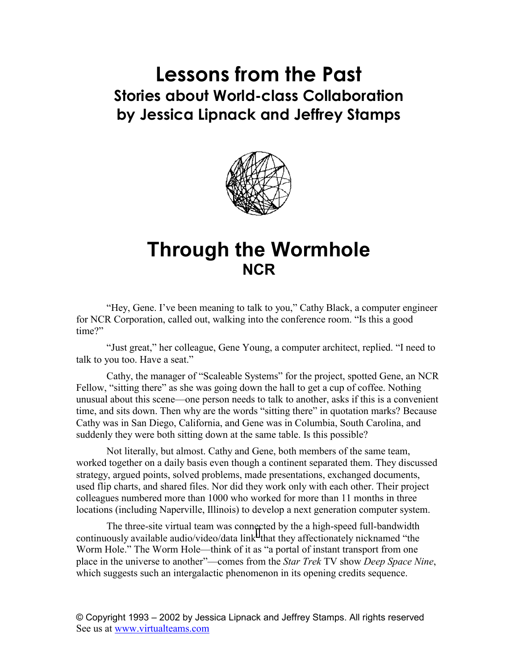# **Lessons from the Past Stories about World-class Collaboration by Jessica Lipnack and Jeffrey Stamps**



# **Through the Wormhole NCR**

"Hey, Gene. I've been meaning to talk to you," Cathy Black, a computer engineer for NCR Corporation, called out, walking into the conference room. "Is this a good time?"

"Just great," her colleague, Gene Young, a computer architect, replied. "I need to talk to you too. Have a seat."

Cathy, the manager of "Scaleable Systems" for the project, spotted Gene, an NCR Fellow, "sitting there" as she was going down the hall to get a cup of coffee. Nothing unusual about this scene—one person needs to talk to another, asks if this is a convenient time, and sits down. Then why are the words "sitting there" in quotation marks? Because Cathy was in San Diego, California, and Gene was in Columbia, South Carolina, and suddenly they were both sitting down at the same table. Is this possible?

Not literally, but almost. Cathy and Gene, both members of the same team, worked together on a daily basis even though a continent separated them. They discussed strategy, argued points, solved problems, made presentations, exchanged documents, used flip charts, and shared files. Nor did they work only with each other. Their project colleagues numbered more than 1000 who worked for more than 11 months in three locations (including Naperville, Illinois) to develop a next generation computer system.

The three-site virtual team was conn[ec](#page-7-0)ted by the a high-speed full-bandwidth continuously available audio/video/data  $link<sup>i</sup>$  that they affectionately nicknamed "the Worm Hole." The Worm Hole—think of it as "a portal of instant transport from one place in the universe to another"—comes from the *Star Trek* TV show *Deep Space Nine*, which suggests such an intergalactic phenomenon in its opening credits sequence.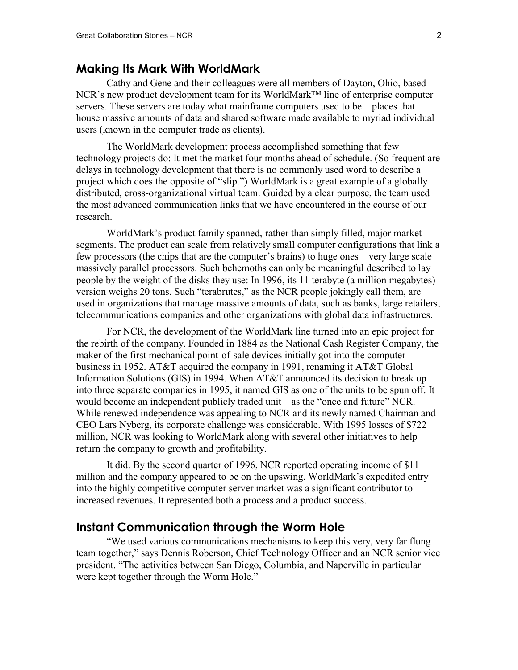## **Making Its Mark With WorldMark**

Cathy and Gene and their colleagues were all members of Dayton, Ohio, based NCR's new product development team for its WorldMark™ line of enterprise computer servers. These servers are today what mainframe computers used to be—places that house massive amounts of data and shared software made available to myriad individual users (known in the computer trade as clients).

The WorldMark development process accomplished something that few technology projects do: It met the market four months ahead of schedule. (So frequent are delays in technology development that there is no commonly used word to describe a project which does the opposite of "slip.") WorldMark is a great example of a globally distributed, cross-organizational virtual team. Guided by a clear purpose, the team used the most advanced communication links that we have encountered in the course of our research.

WorldMark's product family spanned, rather than simply filled, major market segments. The product can scale from relatively small computer configurations that link a few processors (the chips that are the computer's brains) to huge ones—very large scale massively parallel processors. Such behemoths can only be meaningful described to lay people by the weight of the disks they use: In 1996, its 11 terabyte (a million megabytes) version weighs 20 tons. Such "terabrutes," as the NCR people jokingly call them, are used in organizations that manage massive amounts of data, such as banks, large retailers, telecommunications companies and other organizations with global data infrastructures.

For NCR, the development of the WorldMark line turned into an epic project for the rebirth of the company. Founded in 1884 as the National Cash Register Company, the maker of the first mechanical point-of-sale devices initially got into the computer business in 1952. AT&T acquired the company in 1991, renaming it AT&T Global Information Solutions (GIS) in 1994. When AT&T announced its decision to break up into three separate companies in 1995, it named GIS as one of the units to be spun off. It would become an independent publicly traded unit—as the "once and future" NCR. While renewed independence was appealing to NCR and its newly named Chairman and CEO Lars Nyberg, its corporate challenge was considerable. With 1995 losses of \$722 million, NCR was looking to WorldMark along with several other initiatives to help return the company to growth and profitability.

It did. By the second quarter of 1996, NCR reported operating income of \$11 million and the company appeared to be on the upswing. WorldMark's expedited entry into the highly competitive computer server market was a significant contributor to increased revenues. It represented both a process and a product success.

### **Instant Communication through the Worm Hole**

"We used various communications mechanisms to keep this very, very far flung team together," says Dennis Roberson, Chief Technology Officer and an NCR senior vice president. "The activities between San Diego, Columbia, and Naperville in particular were kept together through the Worm Hole."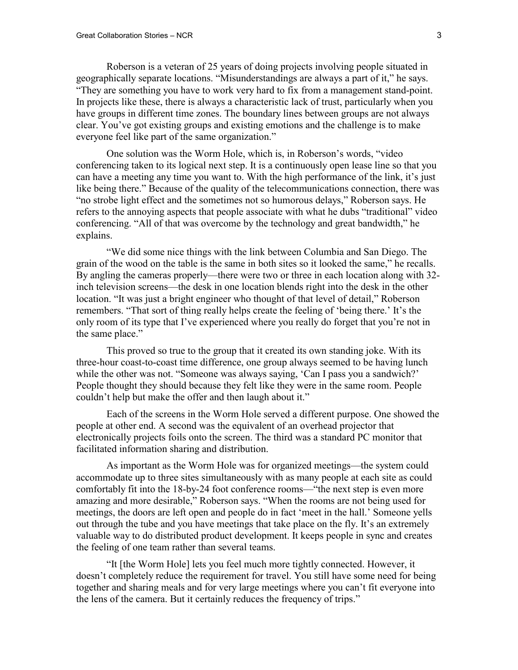Roberson is a veteran of 25 years of doing projects involving people situated in geographically separate locations. "Misunderstandings are always a part of it," he says. "They are something you have to work very hard to fix from a management stand-point. In projects like these, there is always a characteristic lack of trust, particularly when you have groups in different time zones. The boundary lines between groups are not always clear. You've got existing groups and existing emotions and the challenge is to make everyone feel like part of the same organization."

One solution was the Worm Hole, which is, in Roberson's words, "video conferencing taken to its logical next step. It is a continuously open lease line so that you can have a meeting any time you want to. With the high performance of the link, it's just like being there." Because of the quality of the telecommunications connection, there was "no strobe light effect and the sometimes not so humorous delays," Roberson says. He refers to the annoying aspects that people associate with what he dubs "traditional" video conferencing. "All of that was overcome by the technology and great bandwidth," he explains.

"We did some nice things with the link between Columbia and San Diego. The grain of the wood on the table is the same in both sites so it looked the same," he recalls. By angling the cameras properly—there were two or three in each location along with 32 inch television screens—the desk in one location blends right into the desk in the other location. "It was just a bright engineer who thought of that level of detail," Roberson remembers. "That sort of thing really helps create the feeling of 'being there.' It's the only room of its type that I've experienced where you really do forget that you're not in the same place."

This proved so true to the group that it created its own standing joke. With its three-hour coast-to-coast time difference, one group always seemed to be having lunch while the other was not. "Someone was always saying, 'Can I pass you a sandwich?' People thought they should because they felt like they were in the same room. People couldn't help but make the offer and then laugh about it."

Each of the screens in the Worm Hole served a different purpose. One showed the people at other end. A second was the equivalent of an overhead projector that electronically projects foils onto the screen. The third was a standard PC monitor that facilitated information sharing and distribution.

As important as the Worm Hole was for organized meetings—the system could accommodate up to three sites simultaneously with as many people at each site as could comfortably fit into the 18-by-24 foot conference rooms—"the next step is even more amazing and more desirable," Roberson says. "When the rooms are not being used for meetings, the doors are left open and people do in fact 'meet in the hall.' Someone yells out through the tube and you have meetings that take place on the fly. It's an extremely valuable way to do distributed product development. It keeps people in sync and creates the feeling of one team rather than several teams.

"It [the Worm Hole] lets you feel much more tightly connected. However, it doesn't completely reduce the requirement for travel. You still have some need for being together and sharing meals and for very large meetings where you can't fit everyone into the lens of the camera. But it certainly reduces the frequency of trips."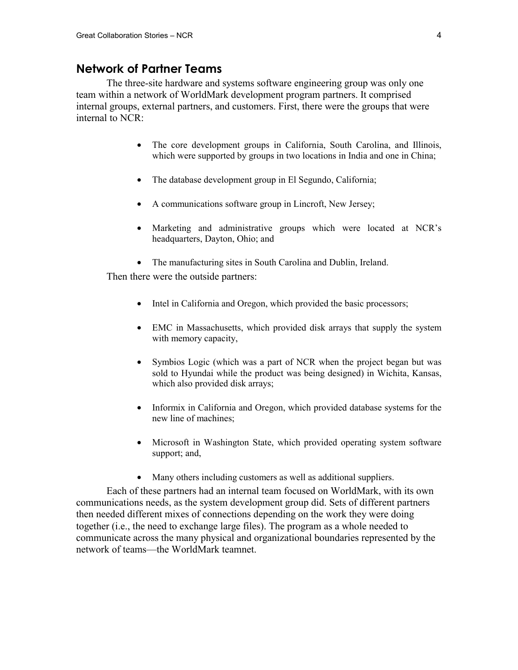## **Network of Partner Teams**

The three-site hardware and systems software engineering group was only one team within a network of WorldMark development program partners. It comprised internal groups, external partners, and customers. First, there were the groups that were internal to NCR:

- The core development groups in California, South Carolina, and Illinois, which were supported by groups in two locations in India and one in China;
- The database development group in El Segundo, California;
- A communications software group in Lincroft, New Jersey;
- Marketing and administrative groups which were located at NCR's headquarters, Dayton, Ohio; and
- The manufacturing sites in South Carolina and Dublin, Ireland.

Then there were the outside partners:

- Intel in California and Oregon, which provided the basic processors;
- EMC in Massachusetts, which provided disk arrays that supply the system with memory capacity,
- Symbios Logic (which was a part of NCR when the project began but was sold to Hyundai while the product was being designed) in Wichita, Kansas, which also provided disk arrays;
- Informix in California and Oregon, which provided database systems for the new line of machines;
- Microsoft in Washington State, which provided operating system software support; and,
- Many others including customers as well as additional suppliers.

Each of these partners had an internal team focused on WorldMark, with its own communications needs, as the system development group did. Sets of different partners then needed different mixes of connections depending on the work they were doing together (i.e., the need to exchange large files). The program as a whole needed to communicate across the many physical and organizational boundaries represented by the network of teams—the WorldMark teamnet.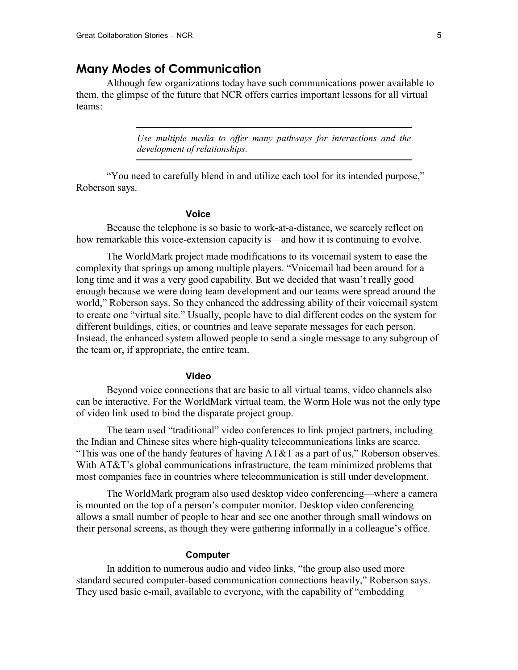## **Many Modes of Communication**

Although few organizations today have such communications power available to them, the glimpse of the future that NCR offers carries important lessons for all virtual teams:

> *Use multiple media to offer many pathways for interactions and the development of relationships.*

"You need to carefully blend in and utilize each tool for its intended purpose," Roberson says.

#### **Voice**

Because the telephone is so basic to work-at-a-distance, we scarcely reflect on how remarkable this voice-extension capacity is—and how it is continuing to evolve.

The WorldMark project made modifications to its voicemail system to ease the complexity that springs up among multiple players. "Voicemail had been around for a long time and it was a very good capability. But we decided that wasn't really good enough because we were doing team development and our teams were spread around the world," Roberson says. So they enhanced the addressing ability of their voicemail system to create one "virtual site." Usually, people have to dial different codes on the system for different buildings, cities, or countries and leave separate messages for each person. Instead, the enhanced system allowed people to send a single message to any subgroup of the team or, if appropriate, the entire team.

#### **Video**

Beyond voice connections that are basic to all virtual teams, video channels also can be interactive. For the WorldMark virtual team, the Worm Hole was not the only type of video link used to bind the disparate project group.

The team used "traditional" video conferences to link project partners, including the Indian and Chinese sites where high-quality telecommunications links are scarce. "This was one of the handy features of having AT&T as a part of us," Roberson observes. With AT&T's global communications infrastructure, the team minimized problems that most companies face in countries where telecommunication is still under development.

The WorldMark program also used desktop video conferencing—where a camera is mounted on the top of a person's computer monitor. Desktop video conferencing allows a small number of people to hear and see one another through small windows on their personal screens, as though they were gathering informally in a colleague's office.

#### **Computer**

In addition to numerous audio and video links, "the group also used more standard secured computer-based communication connections heavily," Roberson says. They used basic e-mail, available to everyone, with the capability of "embedding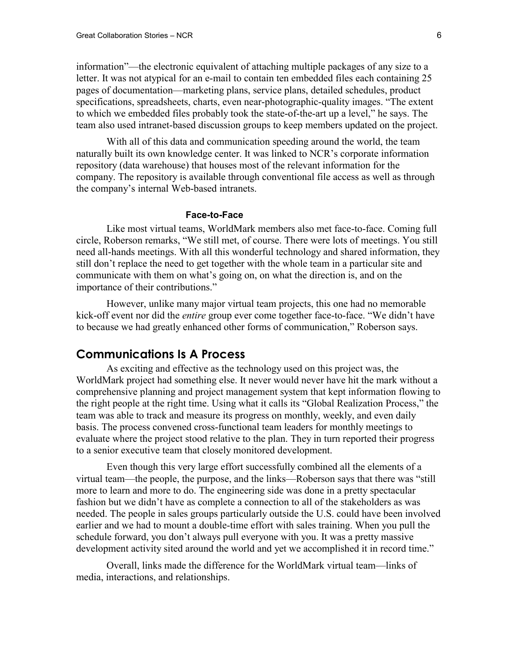information"—the electronic equivalent of attaching multiple packages of any size to a letter. It was not atypical for an e-mail to contain ten embedded files each containing 25 pages of documentation—marketing plans, service plans, detailed schedules, product specifications, spreadsheets, charts, even near-photographic-quality images. "The extent to which we embedded files probably took the state-of-the-art up a level," he says. The team also used intranet-based discussion groups to keep members updated on the project.

With all of this data and communication speeding around the world, the team naturally built its own knowledge center. It was linked to NCR's corporate information repository (data warehouse) that houses most of the relevant information for the company. The repository is available through conventional file access as well as through the company's internal Web-based intranets.

#### **Face-to-Face**

Like most virtual teams, WorldMark members also met face-to-face. Coming full circle, Roberson remarks, "We still met, of course. There were lots of meetings. You still need all-hands meetings. With all this wonderful technology and shared information, they still don't replace the need to get together with the whole team in a particular site and communicate with them on what's going on, on what the direction is, and on the importance of their contributions."

However, unlike many major virtual team projects, this one had no memorable kick-off event nor did the *entire* group ever come together face-to-face. "We didn't have to because we had greatly enhanced other forms of communication," Roberson says.

## **Communications Is A Process**

As exciting and effective as the technology used on this project was, the WorldMark project had something else. It never would never have hit the mark without a comprehensive planning and project management system that kept information flowing to the right people at the right time. Using what it calls its "Global Realization Process," the team was able to track and measure its progress on monthly, weekly, and even daily basis. The process convened cross-functional team leaders for monthly meetings to evaluate where the project stood relative to the plan. They in turn reported their progress to a senior executive team that closely monitored development.

Even though this very large effort successfully combined all the elements of a virtual team—the people, the purpose, and the links—Roberson says that there was "still more to learn and more to do. The engineering side was done in a pretty spectacular fashion but we didn't have as complete a connection to all of the stakeholders as was needed. The people in sales groups particularly outside the U.S. could have been involved earlier and we had to mount a double-time effort with sales training. When you pull the schedule forward, you don't always pull everyone with you. It was a pretty massive development activity sited around the world and yet we accomplished it in record time."

Overall, links made the difference for the WorldMark virtual team—links of media, interactions, and relationships.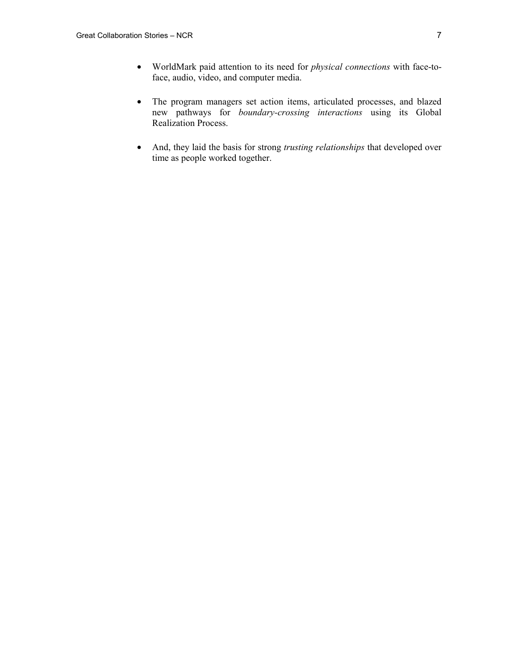- WorldMark paid attention to its need for *physical connections* with face-toface, audio, video, and computer media.
- The program managers set action items, articulated processes, and blazed new pathways for *boundary-crossing interactions* using its Global Realization Process.
- And, they laid the basis for strong *trusting relationships* that developed over time as people worked together.